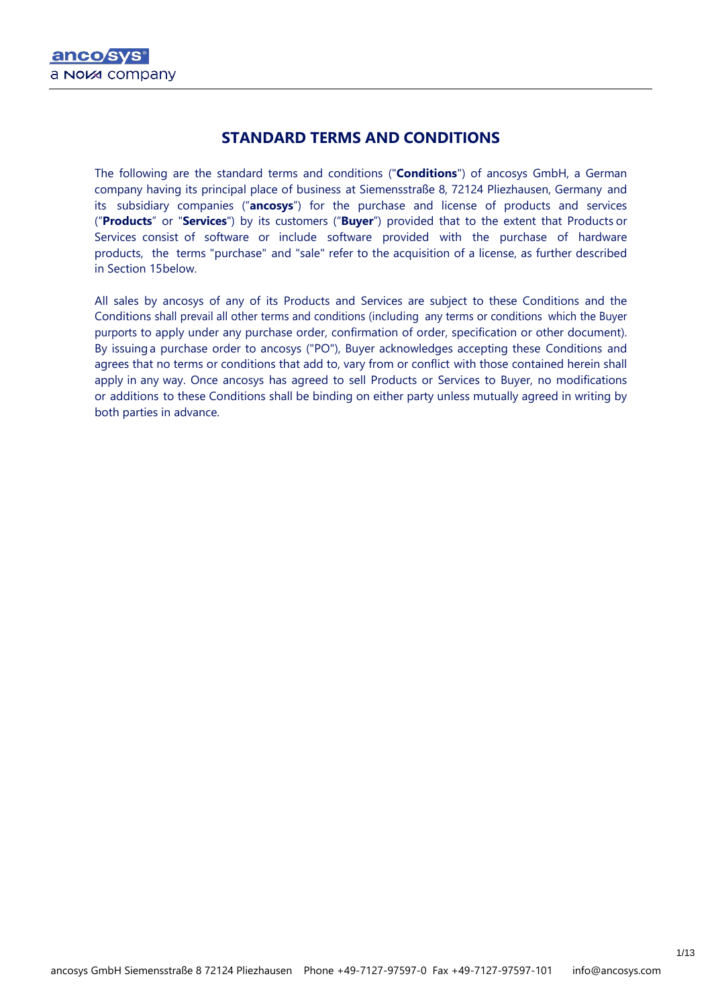# **STANDARD TERMS AND CONDITIONS**

The following are the standard terms and conditions ("**Conditions**") of ancosys GmbH, a German company having its principal place of business at Siemensstraße 8, 72124 Pliezhausen, Germany and its subsidiary companies ("**ancosys**") for the purchase and license of products and services ("**Products**" or "**Services**") by its customers ("**Buyer**") provided that to the extent that Products or Services consist of software or include software provided with the purchase of hardware products, the terms "purchase" and "sale" refer to the acquisition of a license, as further described in Section 15below.

All sales by ancosys of any of its Products and Services are subject to these Conditions and the Conditions shall prevail all other terms and conditions (including any terms or conditions which the Buyer purports to apply under any purchase order, confirmation of order, specification or other document). By issuinga purchase order to ancosys ("PO"), Buyer acknowledges accepting these Conditions and agrees that no terms or conditions that add to, vary from or conflict with those contained herein shall apply in any way. Once ancosys has agreed to sell Products or Services to Buyer, no modifications or additions to these Conditions shall be binding on either party unless mutually agreed in writing by both parties in advance.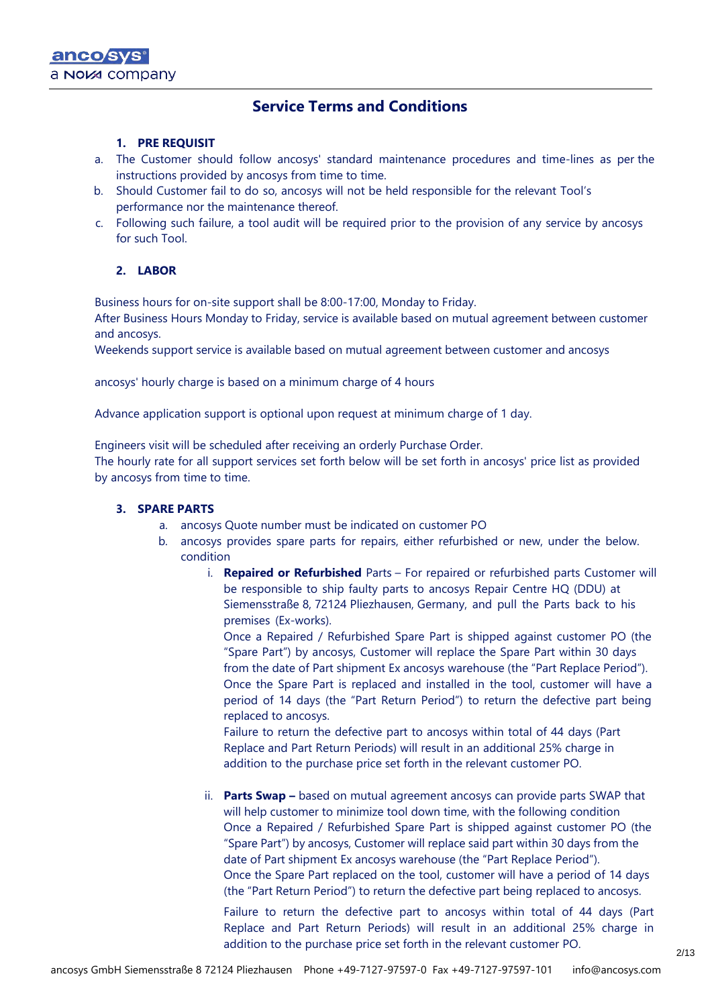# **Service Terms and Conditions**

### **1. PRE REQUISIT**

- a. The Customer should follow ancosys' standard maintenance procedures and time-lines as per the instructions provided by ancosys from time to time.
- b. Should Customer fail to do so, ancosys will not be held responsible for the relevant Tool's performance nor the maintenance thereof.
- c. Following such failure, a tool audit will be required prior to the provision of any service by ancosys for such Tool.

### **2. LABOR**

Business hours for on-site support shall be 8:00-17:00, Monday to Friday.

After Business Hours Monday to Friday, service is available based on mutual agreement between customer and ancosys.

Weekends support service is available based on mutual agreement between customer and ancosys

ancosys' hourly charge is based on a minimum charge of 4 hours

Advance application support is optional upon request at minimum charge of 1 day.

Engineers visit will be scheduled after receiving an orderly Purchase Order.

The hourly rate for all support services set forth below will be set forth in ancosys' price list as provided by ancosys from time to time.

### **3. SPARE PARTS**

- a. ancosys Quote number must be indicated on customer PO
- b. ancosys provides spare parts for repairs, either refurbished or new, under the below. condition
	- i. **Repaired or Refurbished** Parts For repaired or refurbished parts Customer will be responsible to ship faulty parts to ancosys Repair Centre HQ (DDU) at Siemensstraße 8, 72124 Pliezhausen, Germany, and pull the Parts back to his premises (Ex-works).

Once a Repaired / Refurbished Spare Part is shipped against customer PO (the "Spare Part") by ancosys, Customer will replace the Spare Part within 30 days from the date of Part shipment Ex ancosys warehouse (the "Part Replace Period"). Once the Spare Part is replaced and installed in the tool, customer will have a period of 14 days (the "Part Return Period") to return the defective part being replaced to ancosys.

Failure to return the defective part to ancosys within total of 44 days (Part Replace and Part Return Periods) will result in an additional 25% charge in addition to the purchase price set forth in the relevant customer PO.

ii. **Parts Swap –** based on mutual agreement ancosys can provide parts SWAP that will help customer to minimize tool down time, with the following condition Once a Repaired / Refurbished Spare Part is shipped against customer PO (the "Spare Part") by ancosys, Customer will replace said part within 30 days from the date of Part shipment Ex ancosys warehouse (the "Part Replace Period"). Once the Spare Part replaced on the tool, customer will have a period of 14 days (the "Part Return Period") to return the defective part being replaced to ancosys.

Failure to return the defective part to ancosys within total of 44 days (Part Replace and Part Return Periods) will result in an additional 25% charge in addition to the purchase price set forth in the relevant customer PO.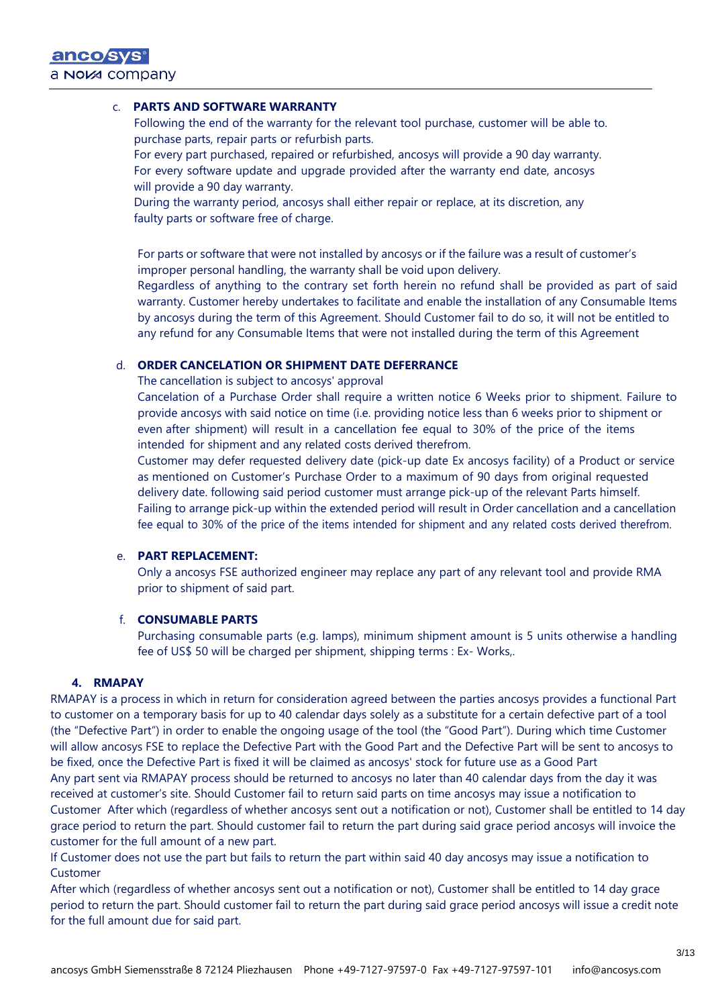### c. **PARTS AND SOFTWARE WARRANTY**

Following the end of the warranty for the relevant tool purchase, customer will be able to. purchase parts, repair parts or refurbish parts.

For every part purchased, repaired or refurbished, ancosys will provide a 90 day warranty. For every software update and upgrade provided after the warranty end date, ancosys will provide a 90 day warranty.

During the warranty period, ancosys shall either repair or replace, at its discretion, any faulty parts or software free of charge.

For parts or software that were not installed by ancosys or if the failure was a result of customer's improper personal handling, the warranty shall be void upon delivery.

Regardless of anything to the contrary set forth herein no refund shall be provided as part of said warranty. Customer hereby undertakes to facilitate and enable the installation of any Consumable Items by ancosys during the term of this Agreement. Should Customer fail to do so, it will not be entitled to any refund for any Consumable Items that were not installed during the term of this Agreement

## d. **ORDER CANCELATION OR SHIPMENT DATE DEFERRANCE**

The cancellation is subject to ancosys' approval

Cancelation of a Purchase Order shall require a written notice 6 Weeks prior to shipment. Failure to provide ancosys with said notice on time (i.e. providing notice less than 6 weeks prior to shipment or even after shipment) will result in a cancellation fee equal to 30% of the price of the items intended for shipment and any related costs derived therefrom.

Customer may defer requested delivery date (pick-up date Ex ancosys facility) of a Product or service as mentioned on Customer's Purchase Order to a maximum of 90 days from original requested delivery date. following said period customer must arrange pick-up of the relevant Parts himself. Failing to arrange pick-up within the extended period will result in Order cancellation and a cancellation fee equal to 30% of the price of the items intended for shipment and any related costs derived therefrom.

### e. **PART REPLACEMENT:**

Only a ancosys FSE authorized engineer may replace any part of any relevant tool and provide RMA prior to shipment of said part.

#### f. **CONSUMABLE PARTS**

Purchasing consumable parts (e.g. lamps), minimum shipment amount is 5 units otherwise a handling fee of US\$ 50 will be charged per shipment, shipping terms : Ex- Works,.

### **4. RMAPAY**

RMAPAY is a process in which in return for consideration agreed between the parties ancosys provides a functional Part to customer on a temporary basis for up to 40 calendar days solely as a substitute for a certain defective part of a tool (the "Defective Part") in order to enable the ongoing usage of the tool (the "Good Part"). During which time Customer will allow ancosys FSE to replace the Defective Part with the Good Part and the Defective Part will be sent to ancosys to be fixed, once the Defective Part is fixed it will be claimed as ancosys' stock for future use as a Good Part Any part sent via RMAPAY process should be returned to ancosys no later than 40 calendar days from the day it was received at customer's site. Should Customer fail to return said parts on time ancosys may issue a notification to Customer After which (regardless of whether ancosys sent out a notification or not), Customer shall be entitled to 14 day grace period to return the part. Should customer fail to return the part during said grace period ancosys will invoice the customer for the full amount of a new part.

If Customer does not use the part but fails to return the part within said 40 day ancosys may issue a notification to Customer

After which (regardless of whether ancosys sent out a notification or not), Customer shall be entitled to 14 day grace period to return the part. Should customer fail to return the part during said grace period ancosys will issue a credit note for the full amount due for said part.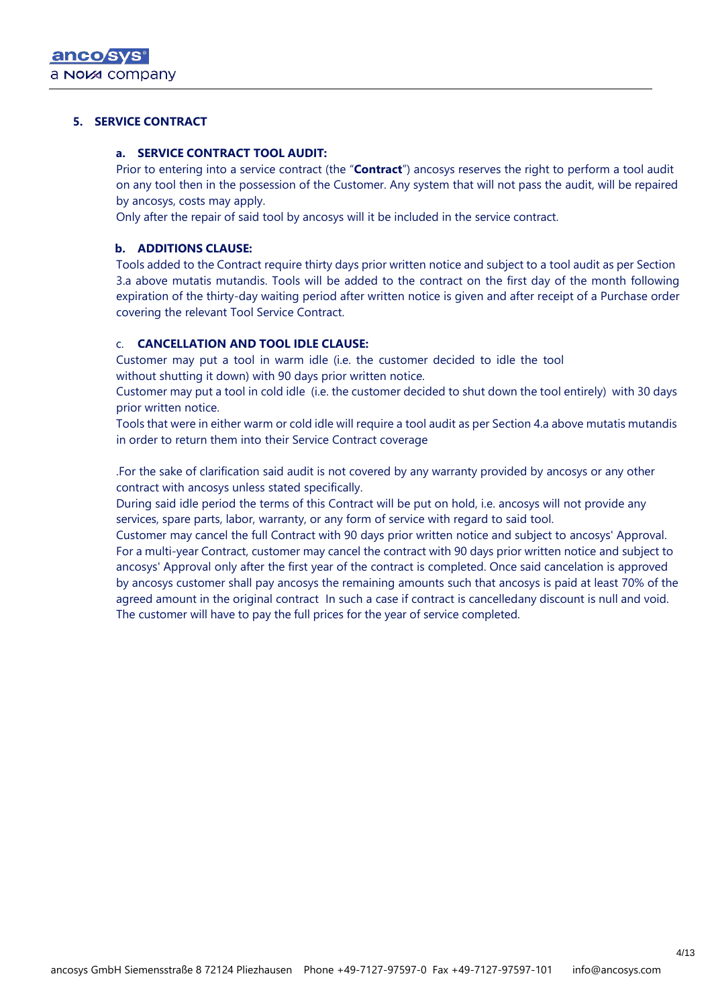### **5. SERVICE CONTRACT**

#### **a. SERVICE CONTRACT TOOL AUDIT:**

Prior to entering into a service contract (the "**Contract**") ancosys reserves the right to perform a tool audit on any tool then in the possession of the Customer. Any system that will not pass the audit, will be repaired by ancosys, costs may apply.

Only after the repair of said tool by ancosys will it be included in the service contract.

### **b. ADDITIONS CLAUSE:**

Tools added to the Contract require thirty days prior written notice and subject to a tool audit as per Section 3.a above mutatis mutandis. Tools will be added to the contract on the first day of the month following expiration of the thirty-day waiting period after written notice is given and after receipt of a Purchase order covering the relevant Tool Service Contract.

### c. **CANCELLATION AND TOOL IDLE CLAUSE:**

Customer may put a tool in warm idle (i.e. the customer decided to idle the tool without shutting it down) with 90 days prior written notice.

Customer may put a tool in cold idle (i.e. the customer decided to shut down the tool entirely) with 30 days prior written notice.

Tools that were in either warm or cold idle will require a tool audit as per Section 4.a above mutatis mutandis in order to return them into their Service Contract coverage

.For the sake of clarification said audit is not covered by any warranty provided by ancosys or any other contract with ancosys unless stated specifically.

During said idle period the terms of this Contract will be put on hold, i.e. ancosys will not provide any services, spare parts, labor, warranty, or any form of service with regard to said tool.

Customer may cancel the full Contract with 90 days prior written notice and subject to ancosys' Approval. For a multi-year Contract, customer may cancel the contract with 90 days prior written notice and subject to ancosys' Approval only after the first year of the contract is completed. Once said cancelation is approved by ancosys customer shall pay ancosys the remaining amounts such that ancosys is paid at least 70% of the agreed amount in the original contract In such a case if contract is cancelledany discount is null and void. The customer will have to pay the full prices for the year of service completed.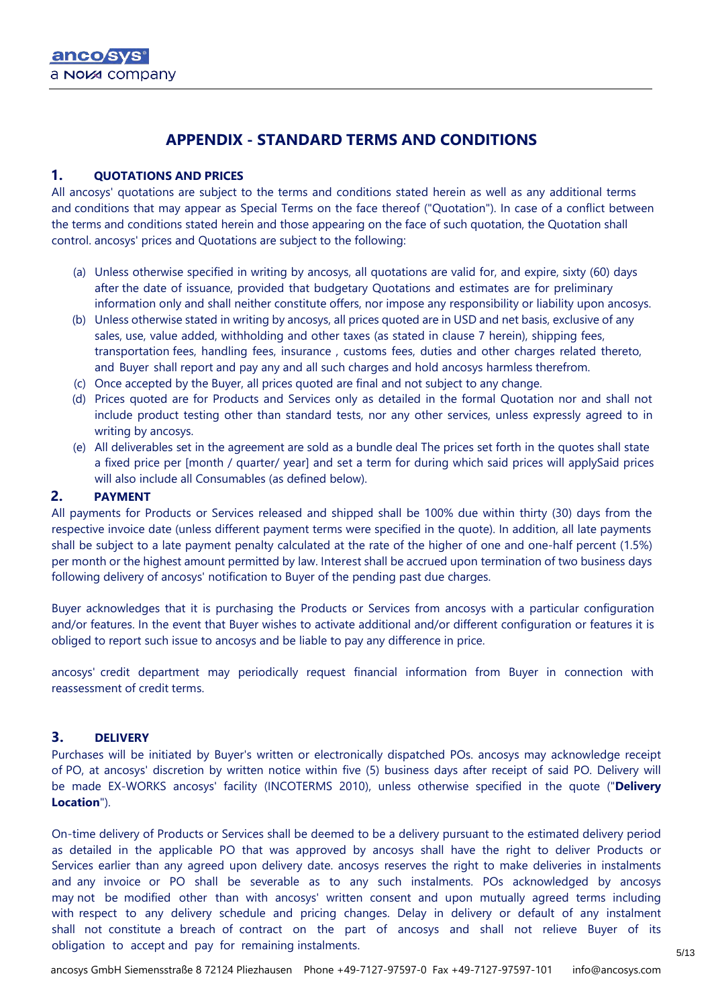# **APPENDIX - STANDARD TERMS AND CONDITIONS**

### **1. QUOTATIONS AND PRICES**

All ancosys' quotations are subject to the terms and conditions stated herein as well as any additional terms and conditions that may appear as Special Terms on the face thereof ("Quotation"). In case of a conflict between the terms and conditions stated herein and those appearing on the face of such quotation, the Quotation shall control. ancosys' prices and Quotations are subject to the following:

- (a) Unless otherwise specified in writing by ancosys, all quotations are valid for, and expire, sixty (60) days after the date of issuance, provided that budgetary Quotations and estimates are for preliminary information only and shall neither constitute offers, nor impose any responsibility or liability upon ancosys.
- (b) Unless otherwise stated in writing by ancosys, all prices quoted are in USD and net basis, exclusive of any sales, use, value added, withholding and other taxes (as stated in clause 7 herein), shipping fees, transportation fees, handling fees, insurance , customs fees, duties and other charges related thereto, and Buyer shall report and pay any and all such charges and hold ancosys harmless therefrom.
- (c) Once accepted by the Buyer, all prices quoted are final and not subject to any change.
- (d) Prices quoted are for Products and Services only as detailed in the formal Quotation nor and shall not include product testing other than standard tests, nor any other services, unless expressly agreed to in writing by ancosys.
- (e) All deliverables set in the agreement are sold as a bundle deal The prices set forth in the quotes shall state a fixed price per [month / quarter/ year] and set a term for during which said prices will applySaid prices will also include all Consumables (as defined below).

### **2. PAYMENT**

All payments for Products or Services released and shipped shall be 100% due within thirty (30) days from the respective invoice date (unless different payment terms were specified in the quote). In addition, all late payments shall be subject to a late payment penalty calculated at the rate of the higher of one and one-half percent (1.5%) per month or the highest amount permitted by law. Interest shall be accrued upon termination of two business days following delivery of ancosys' notification to Buyer of the pending past due charges.

Buyer acknowledges that it is purchasing the Products or Services from ancosys with a particular configuration and/or features. In the event that Buyer wishes to activate additional and/or different configuration or features it is obliged to report such issue to ancosys and be liable to pay any difference in price.

ancosys' credit department may periodically request financial information from Buyer in connection with reassessment of credit terms.

### **3. DELIVERY**

Purchases will be initiated by Buyer's written or electronically dispatched POs. ancosys may acknowledge receipt of PO, at ancosys' discretion by written notice within five (5) business days after receipt of said PO. Delivery will be made EX-WORKS ancosys' facility (INCOTERMS 2010), unless otherwise specified in the quote ("**Delivery Location**").

On-time delivery of Products or Services shall be deemed to be a delivery pursuant to the estimated delivery period as detailed in the applicable PO that was approved by ancosys shall have the right to deliver Products or Services earlier than any agreed upon delivery date. ancosys reserves the right to make deliveries in instalments and any invoice or PO shall be severable as to any such instalments. POs acknowledged by ancosys may not be modified other than with ancosys' written consent and upon mutually agreed terms including with respect to any delivery schedule and pricing changes. Delay in delivery or default of any instalment shall not constitute a breach of contract on the part of ancosys and shall not relieve Buyer of its obligation to accept and pay for remaining instalments.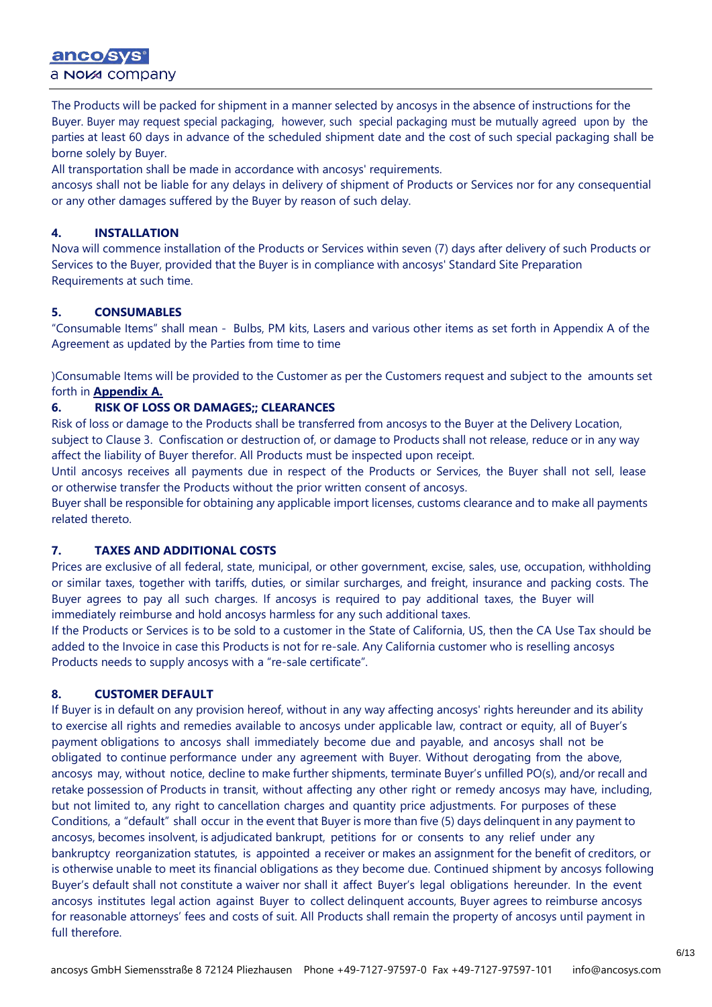# anco sys a Nova company

The Products will be packed for shipment in a manner selected by ancosys in the absence of instructions for the Buyer. Buyer may request special packaging, however, such special packaging must be mutually agreed upon by the parties at least 60 days in advance of the scheduled shipment date and the cost of such special packaging shall be borne solely by Buyer.

All transportation shall be made in accordance with ancosys' requirements.

ancosys shall not be liable for any delays in delivery of shipment of Products or Services nor for any consequential or any other damages suffered by the Buyer by reason of such delay.

# **4. INSTALLATION**

Nova will commence installation of the Products or Services within seven (7) days after delivery of such Products or Services to the Buyer, provided that the Buyer is in compliance with ancosys' Standard Site Preparation Requirements at such time.

# **5. CONSUMABLES**

"Consumable Items" shall mean - Bulbs, PM kits, Lasers and various other items as set forth in Appendix A of the Agreement as updated by the Parties from time to time

)Consumable Items will be provided to the Customer as per the Customers request and subject to the amounts set forth in **Appendix A.**

### **6. RISK OF LOSS OR DAMAGES;; CLEARANCES**

Risk of loss or damage to the Products shall be transferred from ancosys to the Buyer at the Delivery Location, subject to Clause 3. Confiscation or destruction of, or damage to Products shall not release, reduce or in any way affect the liability of Buyer therefor. All Products must be inspected upon receipt.

Until ancosys receives all payments due in respect of the Products or Services, the Buyer shall not sell, lease or otherwise transfer the Products without the prior written consent of ancosys.

Buyer shall be responsible for obtaining any applicable import licenses, customs clearance and to make all payments related thereto.

### **7. TAXES AND ADDITIONAL COSTS**

Prices are exclusive of all federal, state, municipal, or other government, excise, sales, use, occupation, withholding or similar taxes, together with tariffs, duties, or similar surcharges, and freight, insurance and packing costs. The Buyer agrees to pay all such charges. If ancosys is required to pay additional taxes, the Buyer will immediately reimburse and hold ancosys harmless for any such additional taxes.

If the Products or Services is to be sold to a customer in the State of California, US, then the CA Use Tax should be added to the Invoice in case this Products is not for re-sale. Any California customer who is reselling ancosys Products needs to supply ancosys with a "re-sale certificate".

# **8. CUSTOMER DEFAULT**

If Buyer is in default on any provision hereof, without in any way affecting ancosys' rights hereunder and its ability to exercise all rights and remedies available to ancosys under applicable law, contract or equity, all of Buyer's payment obligations to ancosys shall immediately become due and payable, and ancosys shall not be obligated to continue performance under any agreement with Buyer. Without derogating from the above, ancosys may, without notice, decline to make further shipments, terminate Buyer's unfilled PO(s), and/or recall and retake possession of Products in transit, without affecting any other right or remedy ancosys may have, including, but not limited to, any right to cancellation charges and quantity price adjustments. For purposes of these Conditions, a "default" shall occur in the event that Buyer is more than five (5) days delinquent in any payment to ancosys, becomes insolvent, is adjudicated bankrupt, petitions for or consents to any relief under any bankruptcy reorganization statutes, is appointed a receiver or makes an assignment for the benefit of creditors, or is otherwise unable to meet its financial obligations as they become due. Continued shipment by ancosys following Buyer's default shall not constitute a waiver nor shall it affect Buyer's legal obligations hereunder. In the event ancosys institutes legal action against Buyer to collect delinquent accounts, Buyer agrees to reimburse ancosys for reasonable attorneys' fees and costs of suit. All Products shall remain the property of ancosys until payment in full therefore.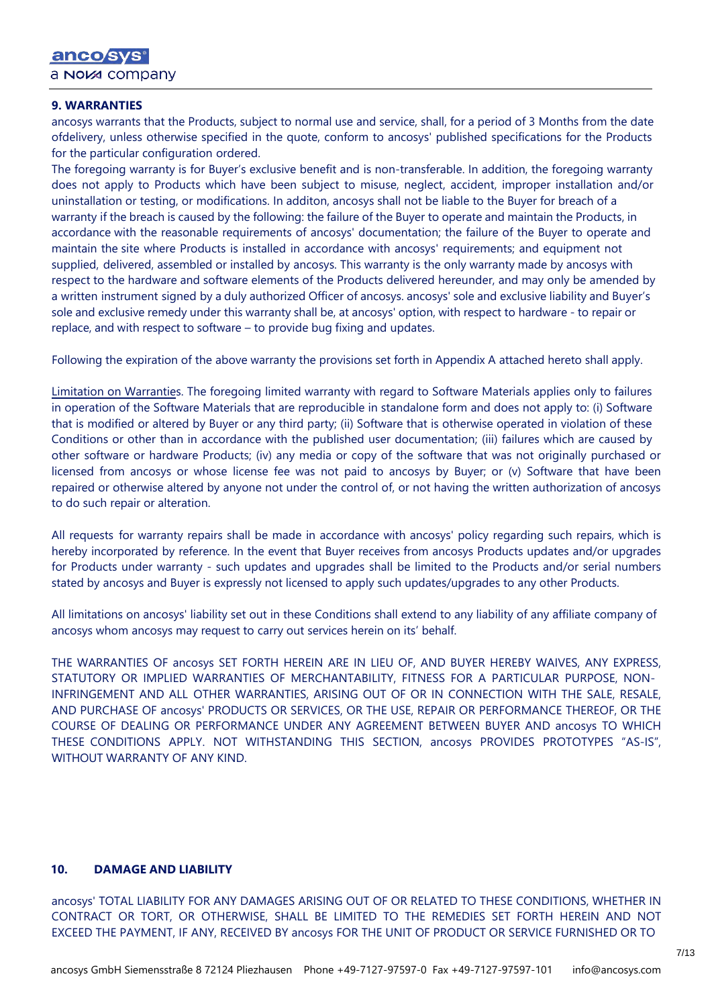#### **9. WARRANTIES**

ancosys warrants that the Products, subject to normal use and service, shall, for a period of 3 Months from the date ofdelivery, unless otherwise specified in the quote, conform to ancosys' published specifications for the Products for the particular configuration ordered.

The foregoing warranty is for Buyer's exclusive benefit and is non-transferable. In addition, the foregoing warranty does not apply to Products which have been subject to misuse, neglect, accident, improper installation and/or uninstallation or testing, or modifications. In additon, ancosys shall not be liable to the Buyer for breach of a warranty if the breach is caused by the following: the failure of the Buyer to operate and maintain the Products, in accordance with the reasonable requirements of ancosys' documentation; the failure of the Buyer to operate and maintain the site where Products is installed in accordance with ancosys' requirements; and equipment not supplied, delivered, assembled or installed by ancosys. This warranty is the only warranty made by ancosys with respect to the hardware and software elements of the Products delivered hereunder, and may only be amended by a written instrument signed by a duly authorized Officer of ancosys. ancosys' sole and exclusive liability and Buyer's sole and exclusive remedy under this warranty shall be, at ancosys' option, with respect to hardware - to repair or replace, and with respect to software – to provide bug fixing and updates.

Following the expiration of the above warranty the provisions set forth in Appendix A attached hereto shall apply.

Limitation on Warranties. The foregoing limited warranty with regard to Software Materials applies only to failures in operation of the Software Materials that are reproducible in standalone form and does not apply to: (i) Software that is modified or altered by Buyer or any third party; (ii) Software that is otherwise operated in violation of these Conditions or other than in accordance with the published user documentation; (iii) failures which are caused by other software or hardware Products; (iv) any media or copy of the software that was not originally purchased or licensed from ancosys or whose license fee was not paid to ancosys by Buyer; or (v) Software that have been repaired or otherwise altered by anyone not under the control of, or not having the written authorization of ancosys to do such repair or alteration.

All requests for warranty repairs shall be made in accordance with ancosys' policy regarding such repairs, which is hereby incorporated by reference. In the event that Buyer receives from ancosys Products updates and/or upgrades for Products under warranty - such updates and upgrades shall be limited to the Products and/or serial numbers stated by ancosys and Buyer is expressly not licensed to apply such updates/upgrades to any other Products.

All limitations on ancosys' liability set out in these Conditions shall extend to any liability of any affiliate company of ancosys whom ancosys may request to carry out services herein on its' behalf.

THE WARRANTIES OF ancosys SET FORTH HEREIN ARE IN LIEU OF, AND BUYER HEREBY WAIVES, ANY EXPRESS, STATUTORY OR IMPLIED WARRANTIES OF MERCHANTABILITY, FITNESS FOR A PARTICULAR PURPOSE, NON-INFRINGEMENT AND ALL OTHER WARRANTIES, ARISING OUT OF OR IN CONNECTION WITH THE SALE, RESALE, AND PURCHASE OF ancosys' PRODUCTS OR SERVICES, OR THE USE, REPAIR OR PERFORMANCE THEREOF, OR THE COURSE OF DEALING OR PERFORMANCE UNDER ANY AGREEMENT BETWEEN BUYER AND ancosys TO WHICH THESE CONDITIONS APPLY. NOT WITHSTANDING THIS SECTION, ancosys PROVIDES PROTOTYPES "AS-IS", WITHOUT WARRANTY OF ANY KIND.

#### **10. DAMAGE AND LIABILITY**

ancosys' TOTAL LIABILITY FOR ANY DAMAGES ARISING OUT OF OR RELATED TO THESE CONDITIONS, WHETHER IN CONTRACT OR TORT, OR OTHERWISE, SHALL BE LIMITED TO THE REMEDIES SET FORTH HEREIN AND NOT EXCEED THE PAYMENT, IF ANY, RECEIVED BY ancosys FOR THE UNIT OF PRODUCT OR SERVICE FURNISHED OR TO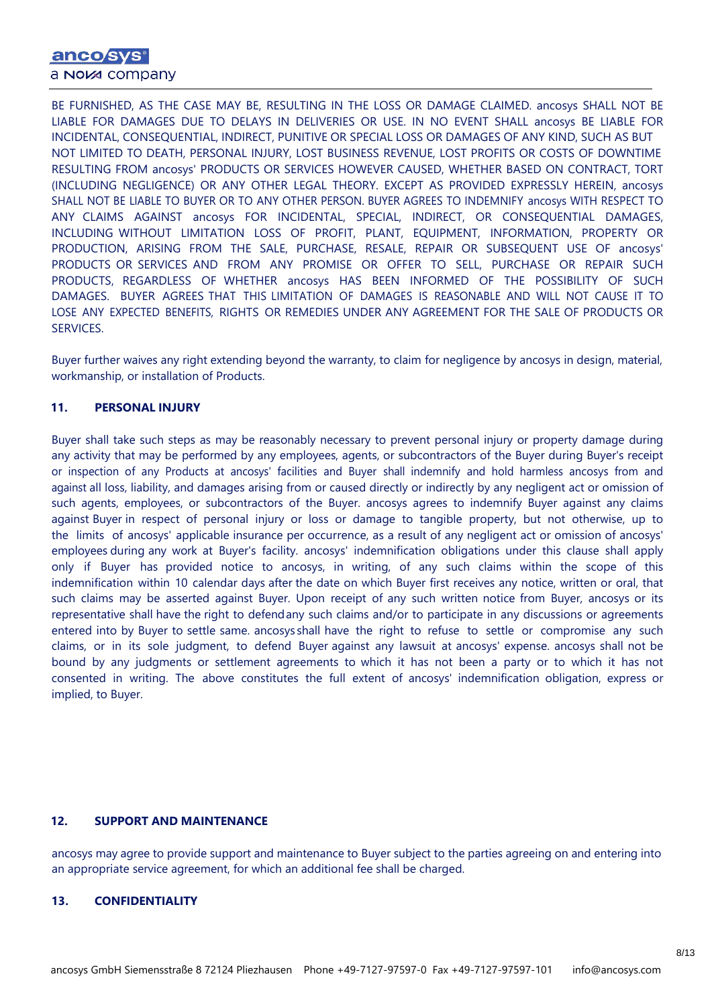# anco sys a NOM company

BE FURNISHED, AS THE CASE MAY BE, RESULTING IN THE LOSS OR DAMAGE CLAIMED. ancosys SHALL NOT BE LIABLE FOR DAMAGES DUE TO DELAYS IN DELIVERIES OR USE. IN NO EVENT SHALL ancosys BE LIABLE FOR INCIDENTAL, CONSEQUENTIAL, INDIRECT, PUNITIVE OR SPECIAL LOSS OR DAMAGES OF ANY KIND, SUCH AS BUT NOT LIMITED TO DEATH, PERSONAL INJURY, LOST BUSINESS REVENUE, LOST PROFITS OR COSTS OF DOWNTIME RESULTING FROM ancosys' PRODUCTS OR SERVICES HOWEVER CAUSED, WHETHER BASED ON CONTRACT, TORT (INCLUDING NEGLIGENCE) OR ANY OTHER LEGAL THEORY. EXCEPT AS PROVIDED EXPRESSLY HEREIN, ancosys SHALL NOT BE LIABLE TO BUYER OR TO ANY OTHER PERSON. BUYER AGREES TO INDEMNIFY ancosys WITH RESPECT TO ANY CLAIMS AGAINST ancosys FOR INCIDENTAL, SPECIAL, INDIRECT, OR CONSEQUENTIAL DAMAGES, INCLUDING WITHOUT LIMITATION LOSS OF PROFIT, PLANT, EQUIPMENT, INFORMATION, PROPERTY OR PRODUCTION, ARISING FROM THE SALE, PURCHASE, RESALE, REPAIR OR SUBSEQUENT USE OF ancosys' PRODUCTS OR SERVICES AND FROM ANY PROMISE OR OFFER TO SELL, PURCHASE OR REPAIR SUCH PRODUCTS, REGARDLESS OF WHETHER ancosys HAS BEEN INFORMED OF THE POSSIBILITY OF SUCH DAMAGES. BUYER AGREES THAT THIS LIMITATION OF DAMAGES IS REASONABLE AND WILL NOT CAUSE IT TO LOSE ANY EXPECTED BENEFITS, RIGHTS OR REMEDIES UNDER ANY AGREEMENT FOR THE SALE OF PRODUCTS OR SERVICES.

Buyer further waives any right extending beyond the warranty, to claim for negligence by ancosys in design, material, workmanship, or installation of Products.

### **11. PERSONAL INJURY**

Buyer shall take such steps as may be reasonably necessary to prevent personal injury or property damage during any activity that may be performed by any employees, agents, or subcontractors of the Buyer during Buyer's receipt or inspection of any Products at ancosys' facilities and Buyer shall indemnify and hold harmless ancosys from and against all loss, liability, and damages arising from or caused directly or indirectly by any negligent act or omission of such agents, employees, or subcontractors of the Buyer. ancosys agrees to indemnify Buyer against any claims against Buyer in respect of personal injury or loss or damage to tangible property, but not otherwise, up to the limits of ancosys' applicable insurance per occurrence, as a result of any negligent act or omission of ancosys' employees during any work at Buyer's facility. ancosys' indemnification obligations under this clause shall apply only if Buyer has provided notice to ancosys, in writing, of any such claims within the scope of this indemnification within 10 calendar days after the date on which Buyer first receives any notice, written or oral, that such claims may be asserted against Buyer. Upon receipt of any such written notice from Buyer, ancosys or its representative shall have the right to defendany such claims and/or to participate in any discussions or agreements entered into by Buyer to settle same. ancosys shall have the right to refuse to settle or compromise any such claims, or in its sole judgment, to defend Buyer against any lawsuit at ancosys' expense. ancosys shall not be bound by any judgments or settlement agreements to which it has not been a party or to which it has not consented in writing. The above constitutes the full extent of ancosys' indemnification obligation, express or implied, to Buyer.

#### **12. SUPPORT AND MAINTENANCE**

ancosys may agree to provide support and maintenance to Buyer subject to the parties agreeing on and entering into an appropriate service agreement, for which an additional fee shall be charged.

### **13. CONFIDENTIALITY**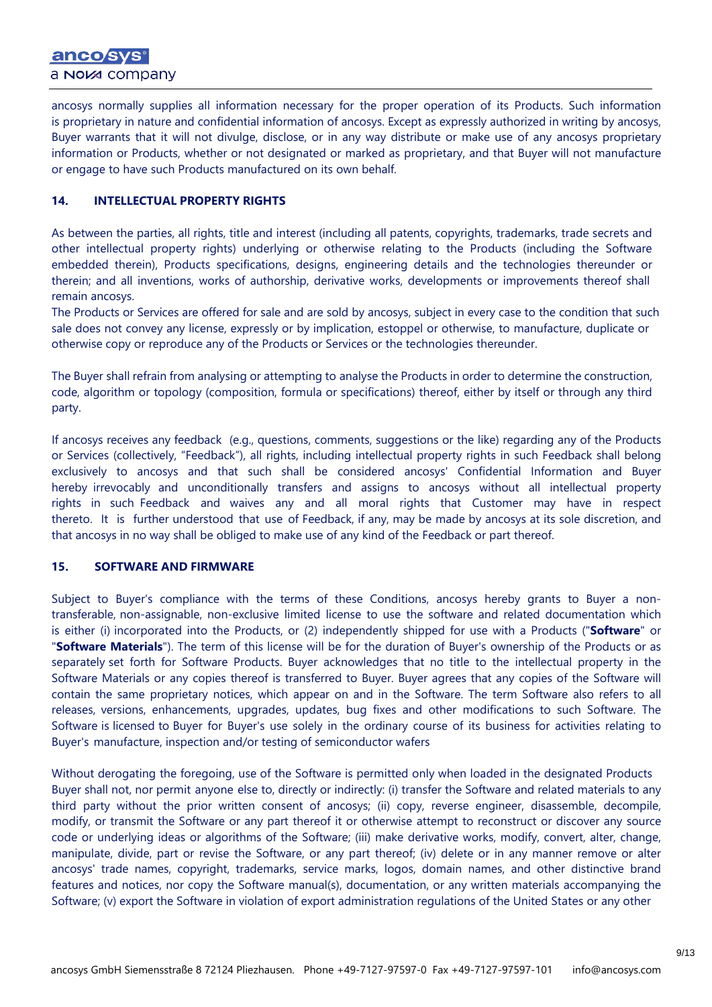ancosys normally supplies all information necessary for the proper operation of its Products. Such information is proprietary in nature and confidential information of ancosys. Except as expressly authorized in writing by ancosys, Buyer warrants that it will not divulge, disclose, or in any way distribute or make use of any ancosys proprietary information or Products, whether or not designated or marked as proprietary, and that Buyer will not manufacture or engage to have such Products manufactured on its own behalf.

### **14. INTELLECTUAL PROPERTY RIGHTS**

As between the parties, all rights, title and interest (including all patents, copyrights, trademarks, trade secrets and other intellectual property rights) underlying or otherwise relating to the Products (including the Software embedded therein), Products specifications, designs, engineering details and the technologies thereunder or therein; and all inventions, works of authorship, derivative works, developments or improvements thereof shall remain ancosys.

The Products or Services are offered for sale and are sold by ancosys, subject in every case to the condition that such sale does not convey any license, expressly or by implication, estoppel or otherwise, to manufacture, duplicate or otherwise copy or reproduce any of the Products or Services or the technologies thereunder.

The Buyer shall refrain from analysing or attempting to analyse the Products in order to determine the construction, code, algorithm or topology (composition, formula or specifications) thereof, either by itself or through any third party.

If ancosys receives any feedback (e.g., questions, comments, suggestions or the like) regarding any of the Products or Services (collectively, "Feedback"), all rights, including intellectual property rights in such Feedback shall belong exclusively to ancosys and that such shall be considered ancosys' Confidential Information and Buyer hereby irrevocably and unconditionally transfers and assigns to ancosys without all intellectual property rights in such Feedback and waives any and all moral rights that Customer may have in respect thereto. It is further understood that use of Feedback, if any, may be made by ancosys at its sole discretion, and that ancosys in no way shall be obliged to make use of any kind of the Feedback or part thereof.

### **15. SOFTWARE AND FIRMWARE**

Subject to Buyer's compliance with the terms of these Conditions, ancosys hereby grants to Buyer a nontransferable, non-assignable, non-exclusive limited license to use the software and related documentation which is either (i) incorporated into the Products, or (2) independently shipped for use with a Products ("**Software**" or "**Software Materials**"). The term of this license will be for the duration of Buyer's ownership of the Products or as separately set forth for Software Products. Buyer acknowledges that no title to the intellectual property in the Software Materials or any copies thereof is transferred to Buyer. Buyer agrees that any copies of the Software will contain the same proprietary notices, which appear on and in the Software. The term Software also refers to all releases, versions, enhancements, upgrades, updates, bug fixes and other modifications to such Software. The Software is licensed to Buyer for Buyer's use solely in the ordinary course of its business for activities relating to Buyer's manufacture, inspection and/or testing of semiconductor wafers

Without derogating the foregoing, use of the Software is permitted only when loaded in the designated Products Buyer shall not, nor permit anyone else to, directly or indirectly: (i) transfer the Software and related materials to any third party without the prior written consent of ancosys; (ii) copy, reverse engineer, disassemble, decompile, modify, or transmit the Software or any part thereof it or otherwise attempt to reconstruct or discover any source code or underlying ideas or algorithms of the Software; (iii) make derivative works, modify, convert, alter, change, manipulate, divide, part or revise the Software, or any part thereof; (iv) delete or in any manner remove or alter ancosys' trade names, copyright, trademarks, service marks, logos, domain names, and other distinctive brand features and notices, nor copy the Software manual(s), documentation, or any written materials accompanying the Software; (v) export the Software in violation of export administration regulations of the United States or any other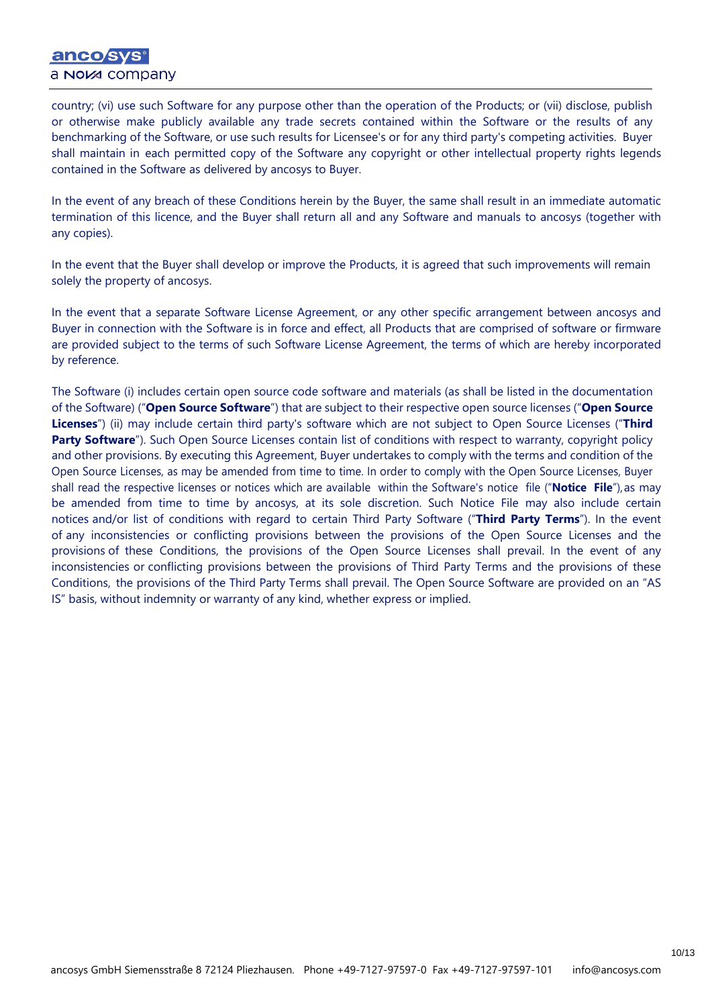# anco sys a NOM company

country; (vi) use such Software for any purpose other than the operation of the Products; or (vii) disclose, publish or otherwise make publicly available any trade secrets contained within the Software or the results of any benchmarking of the Software, or use such results for Licensee's or for any third party's competing activities. Buyer shall maintain in each permitted copy of the Software any copyright or other intellectual property rights legends contained in the Software as delivered by ancosys to Buyer.

In the event of any breach of these Conditions herein by the Buyer, the same shall result in an immediate automatic termination of this licence, and the Buyer shall return all and any Software and manuals to ancosys (together with any copies).

In the event that the Buyer shall develop or improve the Products, it is agreed that such improvements will remain solely the property of ancosys.

In the event that a separate Software License Agreement, or any other specific arrangement between ancosys and Buyer in connection with the Software is in force and effect, all Products that are comprised of software or firmware are provided subject to the terms of such Software License Agreement, the terms of which are hereby incorporated by reference.

The Software (i) includes certain open source code software and materials (as shall be listed in the documentation of the Software) ("**Open Source Software**") that are subject to their respective open source licenses ("**Open Source Licenses**") (ii) may include certain third party's software which are not subject to Open Source Licenses ("**Third Party Software**"). Such Open Source Licenses contain list of conditions with respect to warranty, copyright policy and other provisions. By executing this Agreement, Buyer undertakes to comply with the terms and condition of the Open Source Licenses, as may be amended from time to time. In order to comply with the Open Source Licenses, Buyer shall read the respective licenses or notices which are available within the Software's notice file ("**Notice File**"),as may be amended from time to time by ancosys, at its sole discretion. Such Notice File may also include certain notices and/or list of conditions with regard to certain Third Party Software ("**Third Party Terms**"). In the event of any inconsistencies or conflicting provisions between the provisions of the Open Source Licenses and the provisions of these Conditions, the provisions of the Open Source Licenses shall prevail. In the event of any inconsistencies or conflicting provisions between the provisions of Third Party Terms and the provisions of these Conditions, the provisions of the Third Party Terms shall prevail. The Open Source Software are provided on an "AS IS" basis, without indemnity or warranty of any kind, whether express or implied.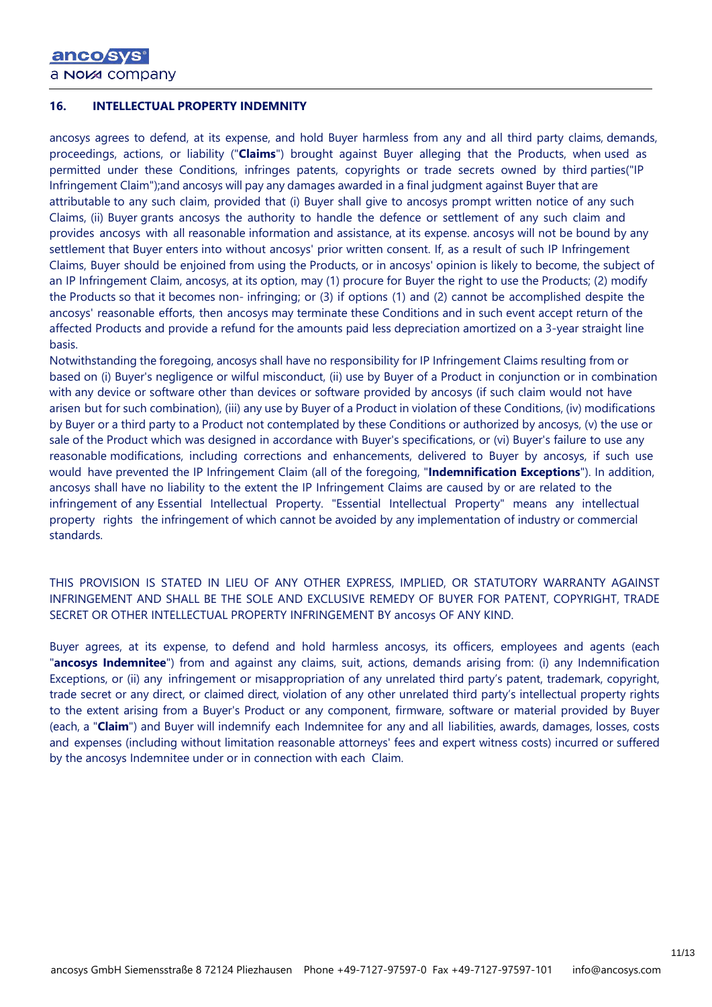### **16. INTELLECTUAL PROPERTY INDEMNITY**

ancosys agrees to defend, at its expense, and hold Buyer harmless from any and all third party claims, demands, proceedings, actions, or liability ("**Claims**") brought against Buyer alleging that the Products, when used as permitted under these Conditions, infringes patents, copyrights or trade secrets owned by third parties("IP Infringement Claim");and ancosys will pay any damages awarded in a final judgment against Buyer that are attributable to any such claim, provided that (i) Buyer shall give to ancosys prompt written notice of any such Claims, (ii) Buyer grants ancosys the authority to handle the defence or settlement of any such claim and provides ancosys with all reasonable information and assistance, at its expense. ancosys will not be bound by any settlement that Buyer enters into without ancosys' prior written consent. If, as a result of such IP Infringement Claims, Buyer should be enjoined from using the Products, or in ancosys' opinion is likely to become, the subject of an IP Infringement Claim, ancosys, at its option, may (1) procure for Buyer the right to use the Products; (2) modify the Products so that it becomes non- infringing; or (3) if options (1) and (2) cannot be accomplished despite the ancosys' reasonable efforts, then ancosys may terminate these Conditions and in such event accept return of the affected Products and provide a refund for the amounts paid less depreciation amortized on a 3-year straight line basis.

Notwithstanding the foregoing, ancosys shall have no responsibility for IP Infringement Claims resulting from or based on (i) Buyer's negligence or wilful misconduct, (ii) use by Buyer of a Product in conjunction or in combination with any device or software other than devices or software provided by ancosys (if such claim would not have arisen but for such combination), (iii) any use by Buyer of a Product in violation of these Conditions, (iv) modifications by Buyer or a third party to a Product not contemplated by these Conditions or authorized by ancosys, (v) the use or sale of the Product which was designed in accordance with Buyer's specifications, or (vi) Buyer's failure to use any reasonable modifications, including corrections and enhancements, delivered to Buyer by ancosys, if such use would have prevented the IP Infringement Claim (all of the foregoing, "**Indemnification Exceptions**"). In addition, ancosys shall have no liability to the extent the IP Infringement Claims are caused by or are related to the infringement of any Essential Intellectual Property. "Essential Intellectual Property" means any intellectual property rights the infringement of which cannot be avoided by any implementation of industry or commercial standards.

THIS PROVISION IS STATED IN LIEU OF ANY OTHER EXPRESS, IMPLIED, OR STATUTORY WARRANTY AGAINST INFRINGEMENT AND SHALL BE THE SOLE AND EXCLUSIVE REMEDY OF BUYER FOR PATENT, COPYRIGHT, TRADE SECRET OR OTHER INTELLECTUAL PROPERTY INFRINGEMENT BY ancosys OF ANY KIND.

Buyer agrees, at its expense, to defend and hold harmless ancosys, its officers, employees and agents (each "**ancosys Indemnitee**") from and against any claims, suit, actions, demands arising from: (i) any Indemnification Exceptions, or (ii) any infringement or misappropriation of any unrelated third party's patent, trademark, copyright, trade secret or any direct, or claimed direct, violation of any other unrelated third party's intellectual property rights to the extent arising from a Buyer's Product or any component, firmware, software or material provided by Buyer (each, a "**Claim**") and Buyer will indemnify each Indemnitee for any and all liabilities, awards, damages, losses, costs and expenses (including without limitation reasonable attorneys' fees and expert witness costs) incurred or suffered by the ancosys Indemnitee under or in connection with each Claim.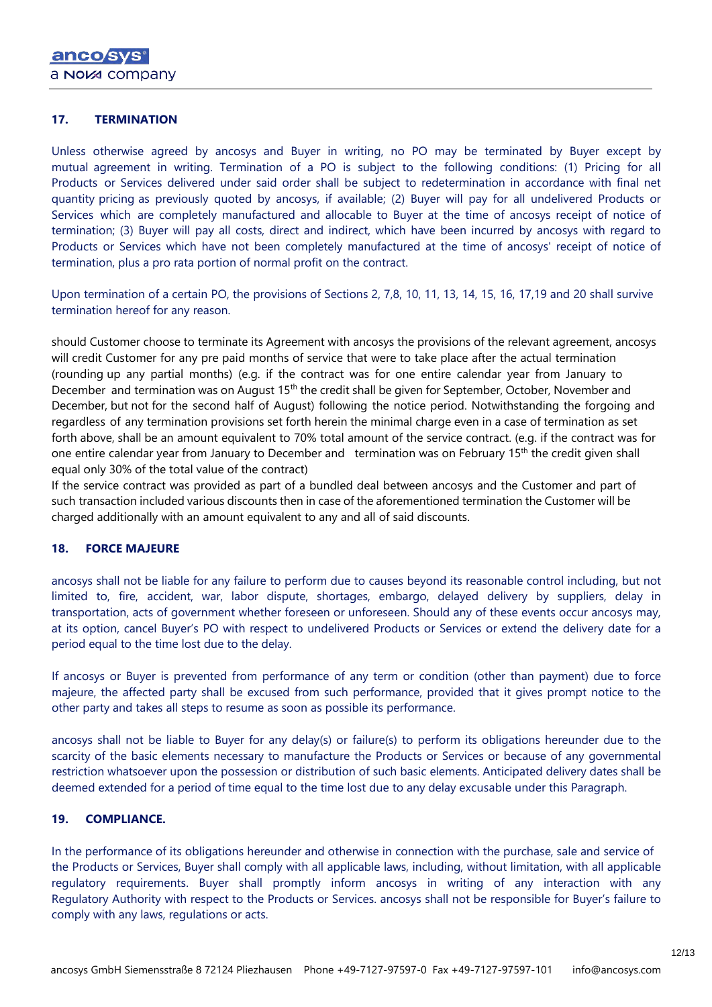### **17. TERMINATION**

Unless otherwise agreed by ancosys and Buyer in writing, no PO may be terminated by Buyer except by mutual agreement in writing. Termination of a PO is subject to the following conditions: (1) Pricing for all Products or Services delivered under said order shall be subject to redetermination in accordance with final net quantity pricing as previously quoted by ancosys, if available; (2) Buyer will pay for all undelivered Products or Services which are completely manufactured and allocable to Buyer at the time of ancosys receipt of notice of termination; (3) Buyer will pay all costs, direct and indirect, which have been incurred by ancosys with regard to Products or Services which have not been completely manufactured at the time of ancosys' receipt of notice of termination, plus a pro rata portion of normal profit on the contract.

Upon termination of a certain PO, the provisions of Sections 2, 7,8, 10, 11, 13, 14, 15, 16, 17,19 and 20 shall survive termination hereof for any reason.

should Customer choose to terminate its Agreement with ancosys the provisions of the relevant agreement, ancosys will credit Customer for any pre paid months of service that were to take place after the actual termination (rounding up any partial months) (e.g. if the contract was for one entire calendar year from January to December and termination was on August 15<sup>th</sup> the credit shall be given for September, October, November and December, but not for the second half of August) following the notice period. Notwithstanding the forgoing and regardless of any termination provisions set forth herein the minimal charge even in a case of termination as set forth above, shall be an amount equivalent to 70% total amount of the service contract. (e.g. if the contract was for one entire calendar year from January to December and termination was on February 15th the credit given shall equal only 30% of the total value of the contract)

If the service contract was provided as part of a bundled deal between ancosys and the Customer and part of such transaction included various discounts then in case of the aforementioned termination the Customer will be charged additionally with an amount equivalent to any and all of said discounts.

### **18. FORCE MAJEURE**

ancosys shall not be liable for any failure to perform due to causes beyond its reasonable control including, but not limited to, fire, accident, war, labor dispute, shortages, embargo, delayed delivery by suppliers, delay in transportation, acts of government whether foreseen or unforeseen. Should any of these events occur ancosys may, at its option, cancel Buyer's PO with respect to undelivered Products or Services or extend the delivery date for a period equal to the time lost due to the delay.

If ancosys or Buyer is prevented from performance of any term or condition (other than payment) due to force majeure, the affected party shall be excused from such performance, provided that it gives prompt notice to the other party and takes all steps to resume as soon as possible its performance.

ancosys shall not be liable to Buyer for any delay(s) or failure(s) to perform its obligations hereunder due to the scarcity of the basic elements necessary to manufacture the Products or Services or because of any governmental restriction whatsoever upon the possession or distribution of such basic elements. Anticipated delivery dates shall be deemed extended for a period of time equal to the time lost due to any delay excusable under this Paragraph.

### **19. COMPLIANCE.**

In the performance of its obligations hereunder and otherwise in connection with the purchase, sale and service of the Products or Services, Buyer shall comply with all applicable laws, including, without limitation, with all applicable regulatory requirements. Buyer shall promptly inform ancosys in writing of any interaction with any Regulatory Authority with respect to the Products or Services. ancosys shall not be responsible for Buyer's failure to comply with any laws, regulations or acts.